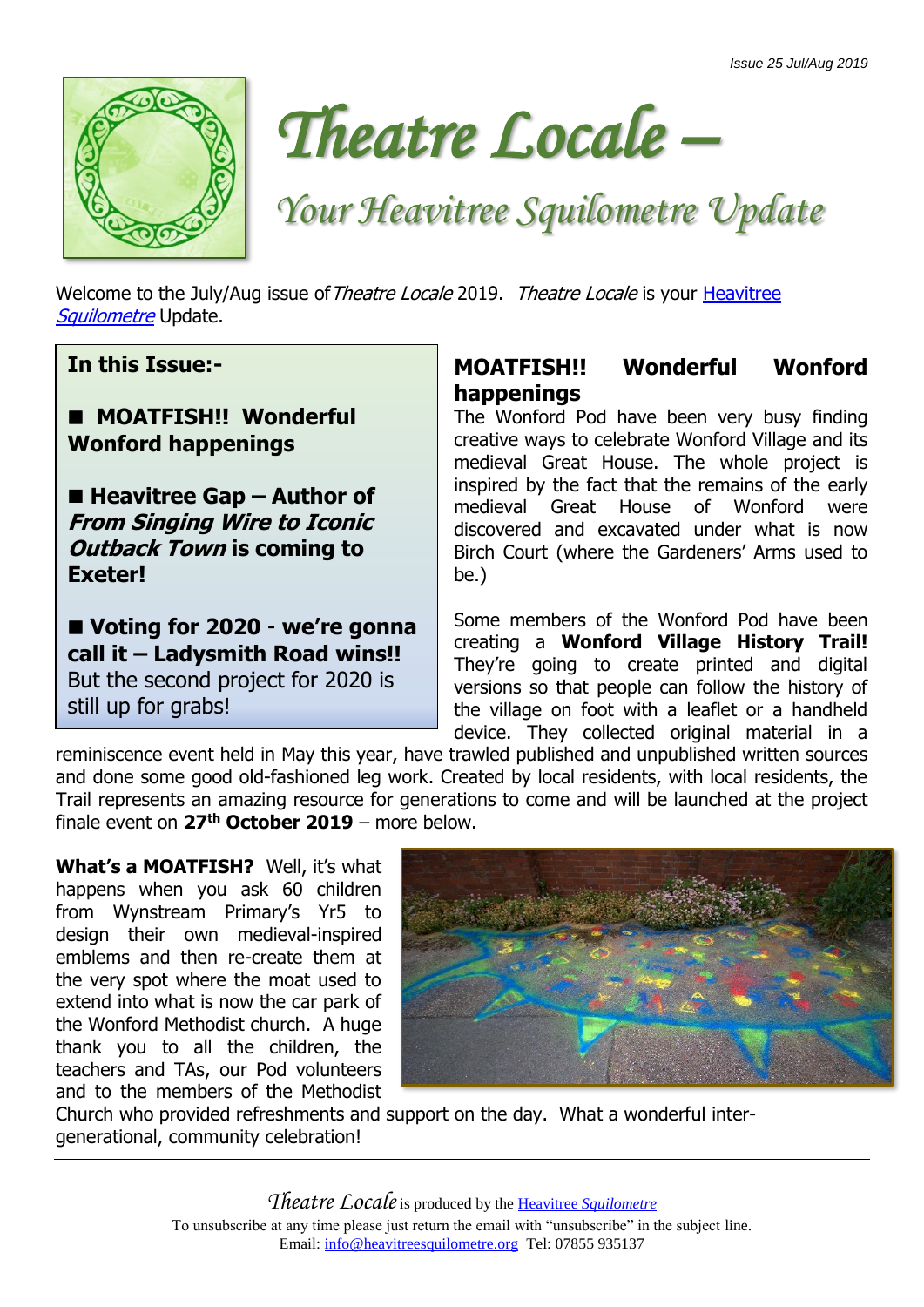



# *Your Heavitree Squilometre Update*

Welcome to the July/Aug issue of Theatre Locale 2019. Theatre Locale is your Heavitree [Squilometre](http://www.heavitreesquilometre.org/) Update.

**In this Issue:-**

#### ■ **MOATFISH!! Wonderful Wonford happenings**

■ Heavitree Gap – Author of **From Singing Wire to Iconic Outback Town is coming to Exeter!**

■ Voting for 2020 - we're gonna **call it – Ladysmith Road wins!!**  But the second project for 2020 is still up for grabs!

# **MOATFISH!! Wonderful Wonford happenings**

The Wonford Pod have been very busy finding creative ways to celebrate Wonford Village and its medieval Great House. The whole project is inspired by the fact that the remains of the early medieval Great House of Wonford were discovered and excavated under what is now Birch Court (where the Gardeners' Arms used to be.)

Some members of the Wonford Pod have been creating a **Wonford Village History Trail!**  They're going to create printed and digital versions so that people can follow the history of the village on foot with a leaflet or a handheld device. They collected original material in a

reminiscence event held in May this year, have trawled published and unpublished written sources and done some good old-fashioned leg work. Created by local residents, with local residents, the Trail represents an amazing resource for generations to come and will be launched at the project finale event on **27th October 2019** – more below.

**What's a MOATFISH?** Well, it's what happens when you ask 60 children from Wynstream Primary's Yr5 to design their own medieval-inspired emblems and then re-create them at the very spot where the moat used to extend into what is now the car park of the Wonford Methodist church. A huge thank you to all the children, the teachers and TAs, our Pod volunteers and to the members of the Methodist



Church who provided refreshments and support on the day. What a wonderful intergenerational, community celebration!

> *Theatre Locale*is produced by the Heavitree *[Squilometre](http://www.heavitreesquilometre.org/)* To unsubscribe at any time please just return the email with "unsubscribe" in the subject line. Email: [info@heavitreesquilometre.org](mailto:info@heavitreesquilometre.org) Tel: 07855 935137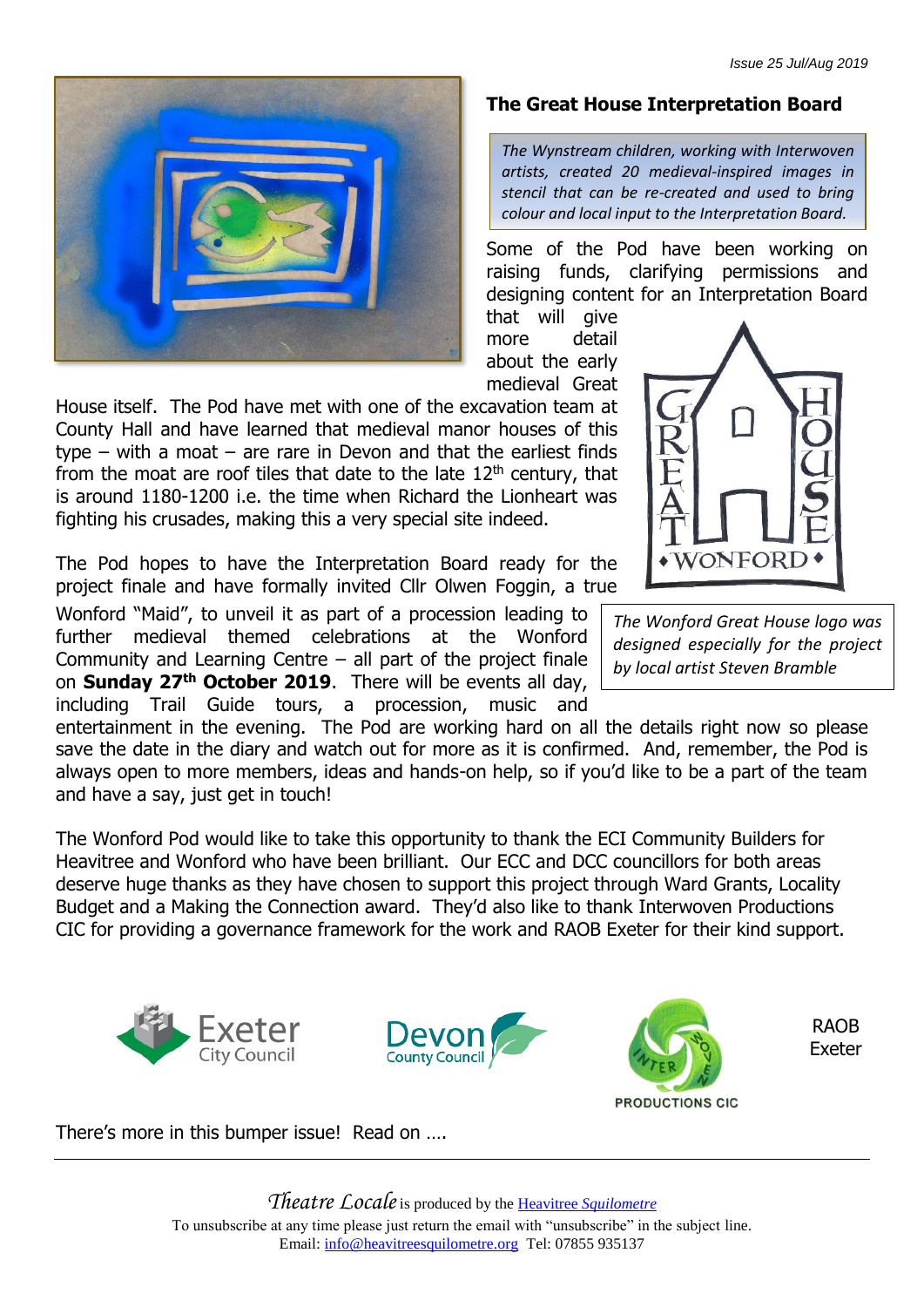

House itself. The Pod have met with one of the excavation team at County Hall and have learned that medieval manor houses of this type – with a moat – are rare in Devon and that the earliest finds from the moat are roof tiles that date to the late  $12<sup>th</sup>$  century, that is around 1180-1200 i.e. the time when Richard the Lionheart was fighting his crusades, making this a very special site indeed.

The Pod hopes to have the Interpretation Board ready for the project finale and have formally invited Cllr Olwen Foggin, a true

Wonford "Maid", to unveil it as part of a procession leading to further medieval themed celebrations at the Wonford Community and Learning Centre – all part of the project finale on **Sunday 27th October 2019**. There will be events all day, including Trail Guide tours, a procession, music and

**The Great House Interpretation Board**

*The Wynstream children, working with Interwoven artists, created 20 medieval-inspired images in stencil that can be re-created and used to bring colour and local input to the Interpretation Board.*

Some of the Pod have been working on raising funds, clarifying permissions and designing content for an Interpretation Board

that will give more detail about the early medieval Great



*The Wonford Great House logo was designed especially for the project by local artist Steven Bramble*

entertainment in the evening. The Pod are working hard on all the details right now so please save the date in the diary and watch out for more as it is confirmed. And, remember, the Pod is always open to more members, ideas and hands-on help, so if you'd like to be a part of the team and have a say, just get in touch!

The Wonford Pod would like to take this opportunity to thank the ECI Community Builders for Heavitree and Wonford who have been brilliant. Our ECC and DCC councillors for both areas deserve huge thanks as they have chosen to support this project through Ward Grants, Locality Budget and a Making the Connection award. They'd also like to thank Interwoven Productions CIC for providing a governance framework for the work and RAOB Exeter for their kind support.





**PRODUCTIONS CIC** 

RAOB Exeter

There's more in this bumper issue! Read on ….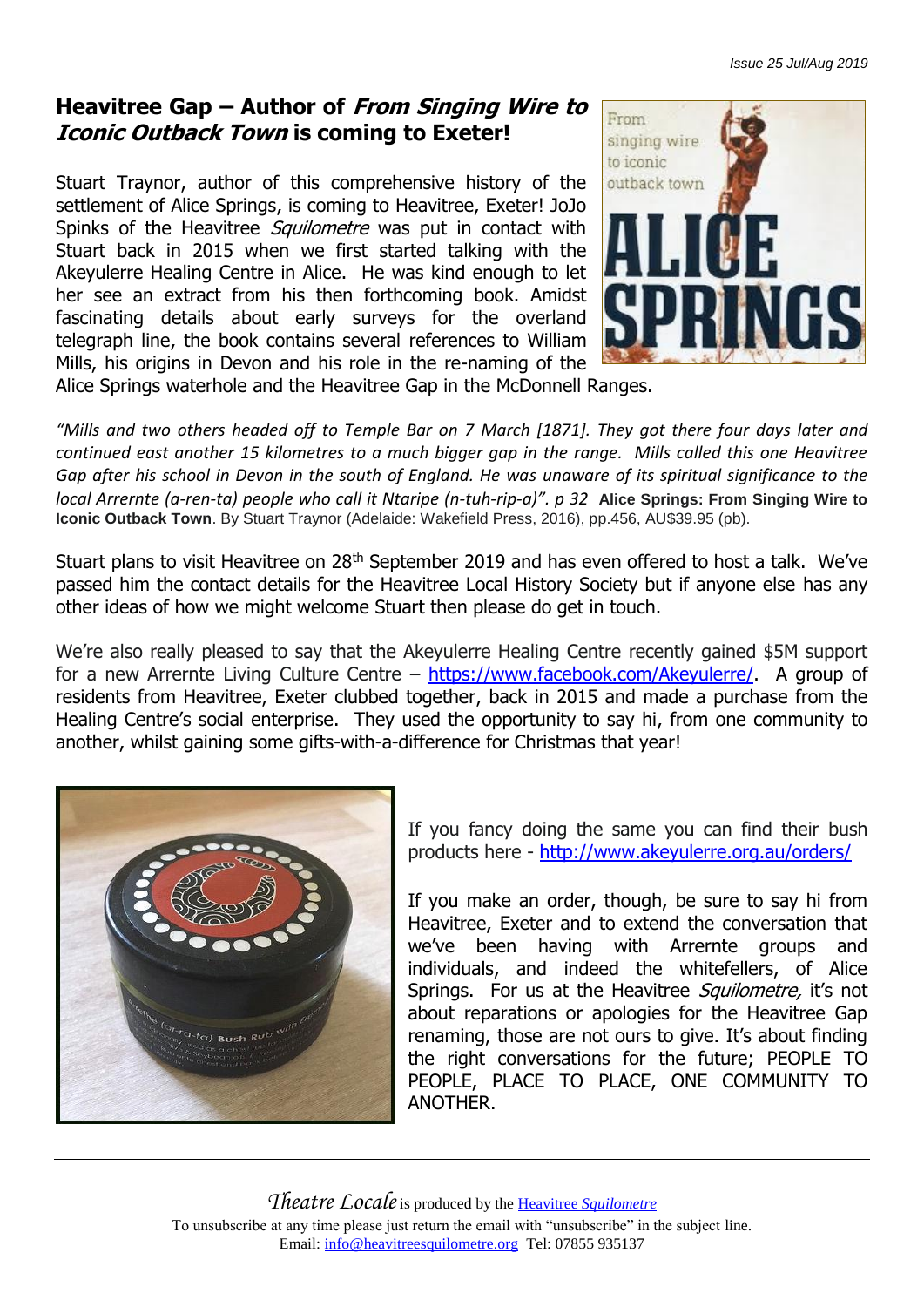### **Heavitree Gap – Author of From Singing Wire to Iconic Outback Town is coming to Exeter!**

Stuart Traynor, author of this comprehensive history of the settlement of Alice Springs, is coming to Heavitree, Exeter! JoJo Spinks of the Heavitree *Squilometre* was put in contact with Stuart back in 2015 when we first started talking with the Akeyulerre Healing Centre in Alice. He was kind enough to let her see an extract from his then forthcoming book. Amidst fascinating details about early surveys for the overland telegraph line, the book contains several references to William Mills, his origins in Devon and his role in the re-naming of the



Alice Springs waterhole and the Heavitree Gap in the McDonnell Ranges.

*"Mills and two others headed off to Temple Bar on 7 March [1871]. They got there four days later and continued east another 15 kilometres to a much bigger gap in the range. Mills called this one Heavitree Gap after his school in Devon in the south of England. He was unaware of its spiritual significance to the local Arrernte (a-ren-ta) people who call it Ntaripe (n-tuh-rip-a)". p 32* **Alice Springs: From Singing Wire to Iconic Outback Town**. By Stuart Traynor (Adelaide: Wakefield Press, 2016), pp.456, AU\$39.95 (pb).

Stuart plans to visit Heavitree on 28<sup>th</sup> September 2019 and has even offered to host a talk. We've passed him the contact details for the Heavitree Local History Society but if anyone else has any other ideas of how we might welcome Stuart then please do get in touch.

We're also really pleased to say that the Akeyulerre Healing Centre recently gained \$5M support for a new Arrernte Living Culture Centre – [https://www.facebook.com/Akeyulerre/.](https://www.facebook.com/Akeyulerre/) A group of residents from Heavitree, Exeter clubbed together, back in 2015 and made a purchase from the Healing Centre's social enterprise. They used the opportunity to say hi, from one community to another, whilst gaining some gifts-with-a-difference for Christmas that year!



If you fancy doing the same you can find their bush products here - <http://www.akeyulerre.org.au/orders/>

If you make an order, though, be sure to say hi from Heavitree, Exeter and to extend the conversation that we've been having with Arrernte groups and individuals, and indeed the whitefellers, of Alice Springs. For us at the Heavitree Squilometre, it's not about reparations or apologies for the Heavitree Gap renaming, those are not ours to give. It's about finding the right conversations for the future; PEOPLE TO PEOPLE, PLACE TO PLACE, ONE COMMUNITY TO ANOTHER.